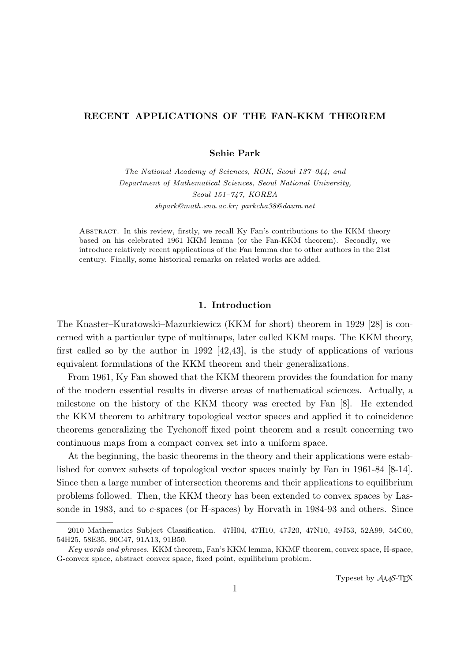# **RECENT APPLICATIONS OF THE FAN-KKM THEOREM**

**Sehie Park**

*The National Academy of Sciences, ROK, Seoul 137–044; and Department of Mathematical Sciences, Seoul National University, Seoul 151–747, KOREA shpark@math.snu.ac.kr; parkcha38@daum.net*

Abstract. In this review, firstly, we recall Ky Fan's contributions to the KKM theory based on his celebrated 1961 KKM lemma (or the Fan-KKM theorem). Secondly, we introduce relatively recent applications of the Fan lemma due to other authors in the 21st century. Finally, some historical remarks on related works are added.

## **1. Introduction**

The Knaster–Kuratowski–Mazurkiewicz (KKM for short) theorem in 1929 [28] is concerned with a particular type of multimaps, later called KKM maps. The KKM theory, first called so by the author in 1992 [42,43], is the study of applications of various equivalent formulations of the KKM theorem and their generalizations.

From 1961, Ky Fan showed that the KKM theorem provides the foundation for many of the modern essential results in diverse areas of mathematical sciences. Actually, a milestone on the history of the KKM theory was erected by Fan [8]. He extended the KKM theorem to arbitrary topological vector spaces and applied it to coincidence theorems generalizing the Tychonoff fixed point theorem and a result concerning two continuous maps from a compact convex set into a uniform space.

At the beginning, the basic theorems in the theory and their applications were established for convex subsets of topological vector spaces mainly by Fan in 1961-84 [8-14]. Since then a large number of intersection theorems and their applications to equilibrium problems followed. Then, the KKM theory has been extended to convex spaces by Lassonde in 1983, and to *c*-spaces (or H-spaces) by Horvath in 1984-93 and others. Since

Typeset by  $\mathcal{A}_{\mathcal{M}}\mathcal{S}\text{-}\mathrm{Tr}X$ 

<sup>2010</sup> Mathematics Subject Classification. 47H04, 47H10, 47J20, 47N10, 49J53, 52A99, 54C60, 54H25, 58E35, 90C47, 91A13, 91B50.

*Key words and phrases.* KKM theorem, Fan's KKM lemma, KKMF theorem, convex space, H-space, G-convex space, abstract convex space, fixed point, equilibrium problem.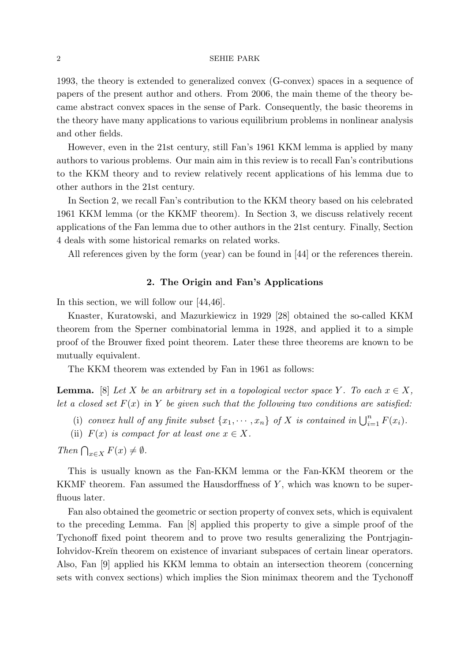1993, the theory is extended to generalized convex (G-convex) spaces in a sequence of papers of the present author and others. From 2006, the main theme of the theory became abstract convex spaces in the sense of Park. Consequently, the basic theorems in the theory have many applications to various equilibrium problems in nonlinear analysis and other fields.

However, even in the 21st century, still Fan's 1961 KKM lemma is applied by many authors to various problems. Our main aim in this review is to recall Fan's contributions to the KKM theory and to review relatively recent applications of his lemma due to other authors in the 21st century.

In Section 2, we recall Fan's contribution to the KKM theory based on his celebrated 1961 KKM lemma (or the KKMF theorem). In Section 3, we discuss relatively recent applications of the Fan lemma due to other authors in the 21st century. Finally, Section 4 deals with some historical remarks on related works.

All references given by the form (year) can be found in [44] or the references therein.

## **2. The Origin and Fan's Applications**

In this section, we will follow our [44,46].

Knaster, Kuratowski, and Mazurkiewicz in 1929 [28] obtained the so-called KKM theorem from the Sperner combinatorial lemma in 1928, and applied it to a simple proof of the Brouwer fixed point theorem. Later these three theorems are known to be mutually equivalent.

The KKM theorem was extended by Fan in 1961 as follows:

**Lemma.** [8] *Let X be an arbitrary set in a topological vector space Y*. To each  $x \in X$ , *let a closed set*  $F(x)$  *in*  $Y$  *be given such that the following two conditions are satisfied:* 

- (i) *convex hull of any finite subset*  $\{x_1, \dots, x_n\}$  *of*  $X$  *is contained in*  $\bigcup_{i=1}^n F(x_i)$ *.*
- (ii)  $F(x)$  *is compact for at least one*  $x \in X$ *.*

*Then*  $\bigcap_{x \in X} F(x) \neq \emptyset$ *.* 

This is usually known as the Fan-KKM lemma or the Fan-KKM theorem or the KKMF theorem. Fan assumed the Hausdorffness of *Y* , which was known to be superfluous later.

Fan also obtained the geometric or section property of convex sets, which is equivalent to the preceding Lemma. Fan [8] applied this property to give a simple proof of the Tychonoff fixed point theorem and to prove two results generalizing the Pontrjagin-Iohvidov-Kreĭn theorem on existence of invariant subspaces of certain linear operators. Also, Fan [9] applied his KKM lemma to obtain an intersection theorem (concerning sets with convex sections) which implies the Sion minimax theorem and the Tychonoff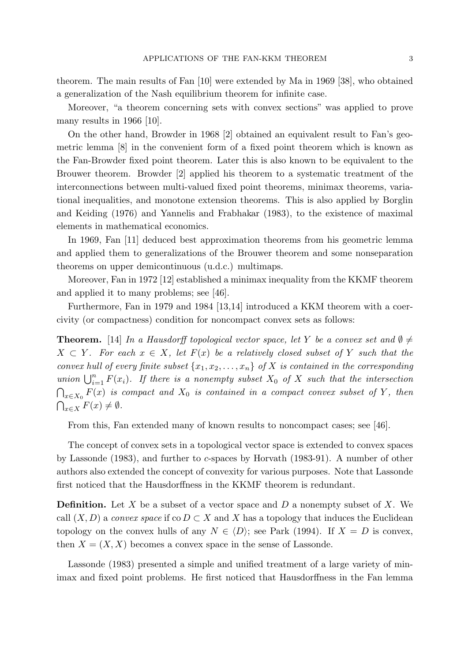theorem. The main results of Fan [10] were extended by Ma in 1969 [38], who obtained a generalization of the Nash equilibrium theorem for infinite case.

Moreover, "a theorem concerning sets with convex sections" was applied to prove many results in 1966 [10].

On the other hand, Browder in 1968 [2] obtained an equivalent result to Fan's geometric lemma [8] in the convenient form of a fixed point theorem which is known as the Fan-Browder fixed point theorem. Later this is also known to be equivalent to the Brouwer theorem. Browder [2] applied his theorem to a systematic treatment of the interconnections between multi-valued fixed point theorems, minimax theorems, variational inequalities, and monotone extension theorems. This is also applied by Borglin and Keiding (1976) and Yannelis and Frabhakar (1983), to the existence of maximal elements in mathematical economics.

In 1969, Fan [11] deduced best approximation theorems from his geometric lemma and applied them to generalizations of the Brouwer theorem and some nonseparation theorems on upper demicontinuous (u.d.c.) multimaps.

Moreover, Fan in 1972 [12] established a minimax inequality from the KKMF theorem and applied it to many problems; see [46].

Furthermore, Fan in 1979 and 1984 [13,14] introduced a KKM theorem with a coercivity (or compactness) condition for noncompact convex sets as follows:

**Theorem.** [14] *In a Hausdorff topological vector space, let Y be a convex set and*  $\emptyset \neq$  $X \subset Y$ *. For each*  $x \in X$ *, let*  $F(x)$  *be a relatively closed subset of Y such that the convex hull of every finite subset*  $\{x_1, x_2, \ldots, x_n\}$  *of*  $X$  *is contained in the corresponding union*  $\bigcup_{i=1}^{n} F(x_i)$ *. If there is a nonempty subset*  $X_0$  *of*  $X$  *such that the intersection*  $\bigcap_{x \in X_0} F(x)$  *is compact and*  $X_0$  *is contained in a compact convex subset of*  $Y$ *, then*  $\bigcap_{x \in X} F(x) \neq \emptyset$ .

From this, Fan extended many of known results to noncompact cases; see [46].

The concept of convex sets in a topological vector space is extended to convex spaces by Lassonde (1983), and further to *c*-spaces by Horvath (1983-91). A number of other authors also extended the concept of convexity for various purposes. Note that Lassonde first noticed that the Hausdorffness in the KKMF theorem is redundant.

**Definition.** Let *X* be a subset of a vector space and *D* a nonempty subset of *X*. We call  $(X, D)$  a *convex space* if  $\text{co } D \subset X$  and X has a topology that induces the Euclidean topology on the convex hulls of any  $N \in \langle D \rangle$ ; see Park (1994). If  $X = D$  is convex, then  $X = (X, X)$  becomes a convex space in the sense of Lassonde.

Lassonde (1983) presented a simple and unified treatment of a large variety of minimax and fixed point problems. He first noticed that Hausdorffness in the Fan lemma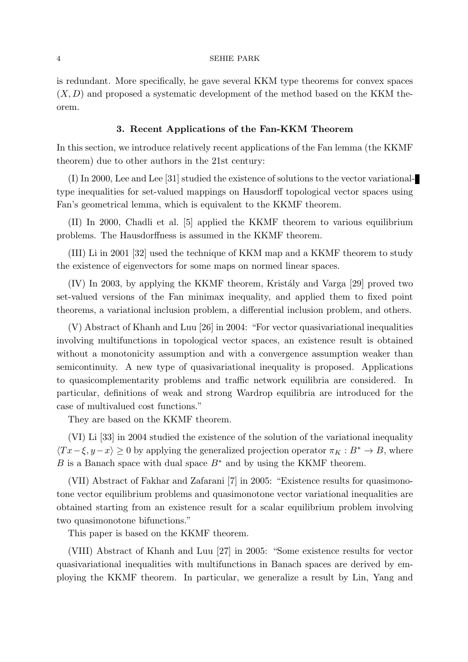is redundant. More specifically, he gave several KKM type theorems for convex spaces  $(X, D)$  and proposed a systematic development of the method based on the KKM theorem.

### **3. Recent Applications of the Fan-KKM Theorem**

In this section, we introduce relatively recent applications of the Fan lemma (the KKMF theorem) due to other authors in the 21st century:

(I) In 2000, Lee and Lee [31] studied the existence of solutions to the vector variationaltype inequalities for set-valued mappings on Hausdorff topological vector spaces using Fan's geometrical lemma, which is equivalent to the KKMF theorem.

(II) In 2000, Chadli et al. [5] applied the KKMF theorem to various equilibrium problems. The Hausdorffness is assumed in the KKMF theorem.

(III) Li in 2001 [32] used the technique of KKM map and a KKMF theorem to study the existence of eigenvectors for some maps on normed linear spaces.

(IV) In 2003, by applying the KKMF theorem, Krist´aly and Varga [29] proved two set-valued versions of the Fan minimax inequality, and applied them to fixed point theorems, a variational inclusion problem, a differential inclusion problem, and others.

(V) Abstract of Khanh and Luu [26] in 2004: "For vector quasivariational inequalities involving multifunctions in topological vector spaces, an existence result is obtained without a monotonicity assumption and with a convergence assumption weaker than semicontinuity. A new type of quasivariational inequality is proposed. Applications to quasicomplementarity problems and traffic network equilibria are considered. In particular, definitions of weak and strong Wardrop equilibria are introduced for the case of multivalued cost functions."

They are based on the KKMF theorem.

(VI) Li [33] in 2004 studied the existence of the solution of the variational inequality  $\langle Tx-\xi, y-x\rangle \geq 0$  by applying the generalized projection operator  $\pi_K : B^* \to B$ , where *B* is a Banach space with dual space  $B$ <sup>∗</sup> and by using the KKMF theorem.

(VII) Abstract of Fakhar and Zafarani [7] in 2005: "Existence results for quasimonotone vector equilibrium problems and quasimonotone vector variational inequalities are obtained starting from an existence result for a scalar equilibrium problem involving two quasimonotone bifunctions."

This paper is based on the KKMF theorem.

(VIII) Abstract of Khanh and Luu [27] in 2005: "Some existence results for vector quasivariational inequalities with multifunctions in Banach spaces are derived by employing the KKMF theorem. In particular, we generalize a result by Lin, Yang and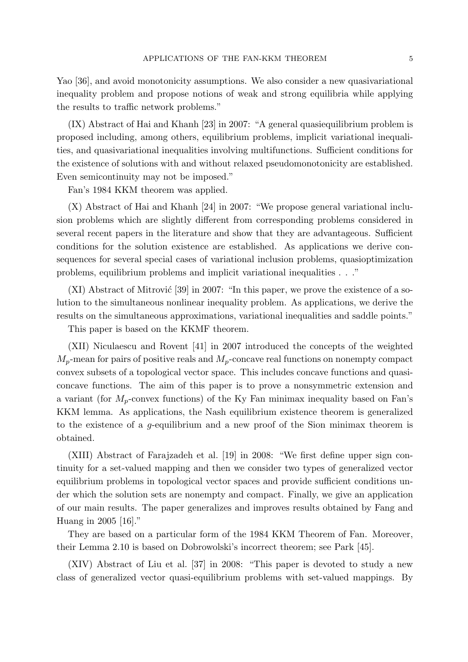Yao [36], and avoid monotonicity assumptions. We also consider a new quasivariational inequality problem and propose notions of weak and strong equilibria while applying the results to traffic network problems."

(IX) Abstract of Hai and Khanh [23] in 2007: "A general quasiequilibrium problem is proposed including, among others, equilibrium problems, implicit variational inequalities, and quasivariational inequalities involving multifunctions. Sufficient conditions for the existence of solutions with and without relaxed pseudomonotonicity are established. Even semicontinuity may not be imposed."

Fan's 1984 KKM theorem was applied.

(X) Abstract of Hai and Khanh [24] in 2007: "We propose general variational inclusion problems which are slightly different from corresponding problems considered in several recent papers in the literature and show that they are advantageous. Sufficient conditions for the solution existence are established. As applications we derive consequences for several special cases of variational inclusion problems, quasioptimization problems, equilibrium problems and implicit variational inequalities . . ."

 $(XI)$  Abstract of Mitrović [39] in 2007: "In this paper, we prove the existence of a solution to the simultaneous nonlinear inequality problem. As applications, we derive the results on the simultaneous approximations, variational inequalities and saddle points."

This paper is based on the KKMF theorem.

(XII) Niculaescu and Rovent [41] in 2007 introduced the concepts of the weighted  $M_p$ -mean for pairs of positive reals and  $M_p$ -concave real functions on nonempty compact convex subsets of a topological vector space. This includes concave functions and quasiconcave functions. The aim of this paper is to prove a nonsymmetric extension and a variant (for  $M_p$ -convex functions) of the Ky Fan minimax inequality based on Fan's KKM lemma. As applications, the Nash equilibrium existence theorem is generalized to the existence of a *g*-equilibrium and a new proof of the Sion minimax theorem is obtained.

(XIII) Abstract of Farajzadeh et al. [19] in 2008: "We first define upper sign continuity for a set-valued mapping and then we consider two types of generalized vector equilibrium problems in topological vector spaces and provide sufficient conditions under which the solution sets are nonempty and compact. Finally, we give an application of our main results. The paper generalizes and improves results obtained by Fang and Huang in 2005 [16]."

They are based on a particular form of the 1984 KKM Theorem of Fan. Moreover, their Lemma 2.10 is based on Dobrowolski's incorrect theorem; see Park [45].

(XIV) Abstract of Liu et al. [37] in 2008: "This paper is devoted to study a new class of generalized vector quasi-equilibrium problems with set-valued mappings. By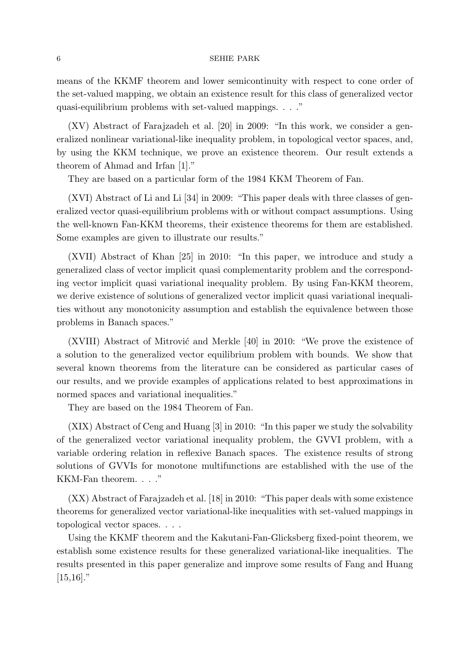means of the KKMF theorem and lower semicontinuity with respect to cone order of the set-valued mapping, we obtain an existence result for this class of generalized vector quasi-equilibrium problems with set-valued mappings. . . ."

(XV) Abstract of Farajzadeh et al. [20] in 2009: "In this work, we consider a generalized nonlinear variational-like inequality problem, in topological vector spaces, and, by using the KKM technique, we prove an existence theorem. Our result extends a theorem of Ahmad and Irfan [1]."

They are based on a particular form of the 1984 KKM Theorem of Fan.

(XVI) Abstract of Li and Li [34] in 2009: "This paper deals with three classes of generalized vector quasi-equilibrium problems with or without compact assumptions. Using the well-known Fan-KKM theorems, their existence theorems for them are established. Some examples are given to illustrate our results."

(XVII) Abstract of Khan [25] in 2010: "In this paper, we introduce and study a generalized class of vector implicit quasi complementarity problem and the corresponding vector implicit quasi variational inequality problem. By using Fan-KKM theorem, we derive existence of solutions of generalized vector implicit quasi variational inequalities without any monotonicity assumption and establish the equivalence between those problems in Banach spaces."

 $(XVIII)$  Abstract of Mitrović and Merkle [40] in 2010: "We prove the existence of a solution to the generalized vector equilibrium problem with bounds. We show that several known theorems from the literature can be considered as particular cases of our results, and we provide examples of applications related to best approximations in normed spaces and variational inequalities."

They are based on the 1984 Theorem of Fan.

(XIX) Abstract of Ceng and Huang [3] in 2010: "In this paper we study the solvability of the generalized vector variational inequality problem, the GVVI problem, with a variable ordering relation in reflexive Banach spaces. The existence results of strong solutions of GVVIs for monotone multifunctions are established with the use of the KKM-Fan theorem. . . ."

(XX) Abstract of Farajzadeh et al. [18] in 2010: "This paper deals with some existence theorems for generalized vector variational-like inequalities with set-valued mappings in topological vector spaces. . . .

Using the KKMF theorem and the Kakutani-Fan-Glicksberg fixed-point theorem, we establish some existence results for these generalized variational-like inequalities. The results presented in this paper generalize and improve some results of Fang and Huang  $[15,16]$ ."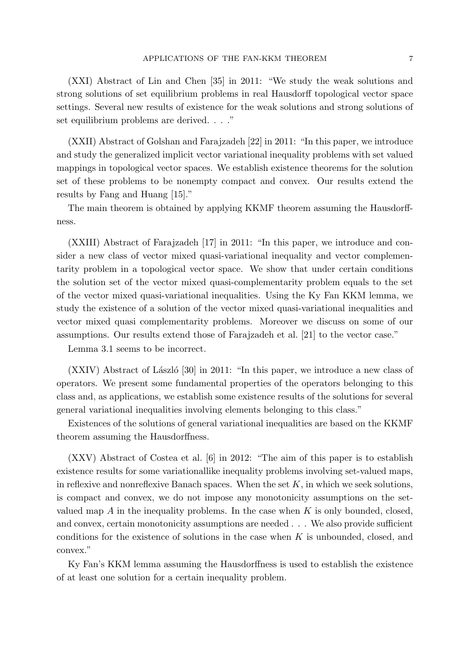(XXI) Abstract of Lin and Chen [35] in 2011: "We study the weak solutions and strong solutions of set equilibrium problems in real Hausdorff topological vector space settings. Several new results of existence for the weak solutions and strong solutions of set equilibrium problems are derived. . . ."

(XXII) Abstract of Golshan and Farajzadeh [22] in 2011: "In this paper, we introduce and study the generalized implicit vector variational inequality problems with set valued mappings in topological vector spaces. We establish existence theorems for the solution set of these problems to be nonempty compact and convex. Our results extend the results by Fang and Huang [15]."

The main theorem is obtained by applying KKMF theorem assuming the Hausdorffness.

(XXIII) Abstract of Farajzadeh [17] in 2011: "In this paper, we introduce and consider a new class of vector mixed quasi-variational inequality and vector complementarity problem in a topological vector space. We show that under certain conditions the solution set of the vector mixed quasi-complementarity problem equals to the set of the vector mixed quasi-variational inequalities. Using the Ky Fan KKM lemma, we study the existence of a solution of the vector mixed quasi-variational inequalities and vector mixed quasi complementarity problems. Moreover we discuss on some of our assumptions. Our results extend those of Farajzadeh et al. [21] to the vector case."

Lemma 3.1 seems to be incorrect.

 $(XXIV)$  Abstract of László [30] in 2011: "In this paper, we introduce a new class of operators. We present some fundamental properties of the operators belonging to this class and, as applications, we establish some existence results of the solutions for several general variational inequalities involving elements belonging to this class."

Existences of the solutions of general variational inequalities are based on the KKMF theorem assuming the Hausdorffness.

(XXV) Abstract of Costea et al. [6] in 2012: "The aim of this paper is to establish existence results for some variationallike inequality problems involving set-valued maps, in reflexive and nonreflexive Banach spaces. When the set *K*, in which we seek solutions, is compact and convex, we do not impose any monotonicity assumptions on the setvalued map *A* in the inequality problems. In the case when *K* is only bounded, closed, and convex, certain monotonicity assumptions are needed . . . We also provide sufficient conditions for the existence of solutions in the case when *K* is unbounded, closed, and convex."

Ky Fan's KKM lemma assuming the Hausdorffness is used to establish the existence of at least one solution for a certain inequality problem.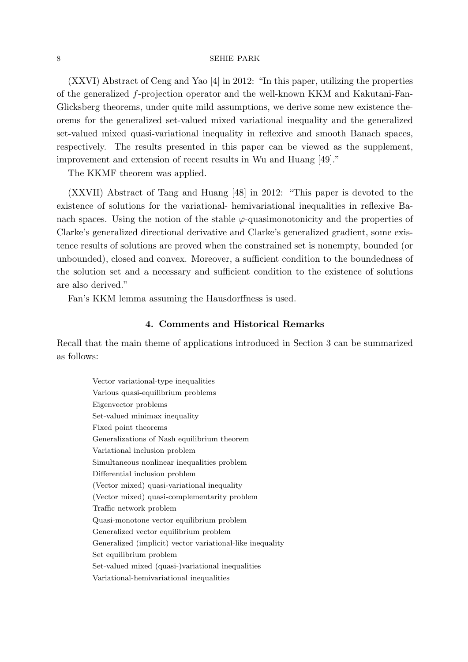(XXVI) Abstract of Ceng and Yao [4] in 2012: "In this paper, utilizing the properties of the generalized *f*-projection operator and the well-known KKM and Kakutani-Fan-Glicksberg theorems, under quite mild assumptions, we derive some new existence theorems for the generalized set-valued mixed variational inequality and the generalized set-valued mixed quasi-variational inequality in reflexive and smooth Banach spaces, respectively. The results presented in this paper can be viewed as the supplement, improvement and extension of recent results in Wu and Huang [49]."

The KKMF theorem was applied.

(XXVII) Abstract of Tang and Huang [48] in 2012: "This paper is devoted to the existence of solutions for the variational- hemivariational inequalities in reflexive Banach spaces. Using the notion of the stable  $\varphi$ -quasimonotonicity and the properties of Clarke's generalized directional derivative and Clarke's generalized gradient, some existence results of solutions are proved when the constrained set is nonempty, bounded (or unbounded), closed and convex. Moreover, a sufficient condition to the boundedness of the solution set and a necessary and sufficient condition to the existence of solutions are also derived."

Fan's KKM lemma assuming the Hausdorffness is used.

## **4. Comments and Historical Remarks**

Recall that the main theme of applications introduced in Section 3 can be summarized as follows:

Vector variational-type inequalities Various quasi-equilibrium problems Eigenvector problems Set-valued minimax inequality Fixed point theorems Generalizations of Nash equilibrium theorem Variational inclusion problem Simultaneous nonlinear inequalities problem Differential inclusion problem (Vector mixed) quasi-variational inequality (Vector mixed) quasi-complementarity problem Traffic network problem Quasi-monotone vector equilibrium problem Generalized vector equilibrium problem Generalized (implicit) vector variational-like inequality Set equilibrium problem Set-valued mixed (quasi-)variational inequalities Variational-hemivariational inequalities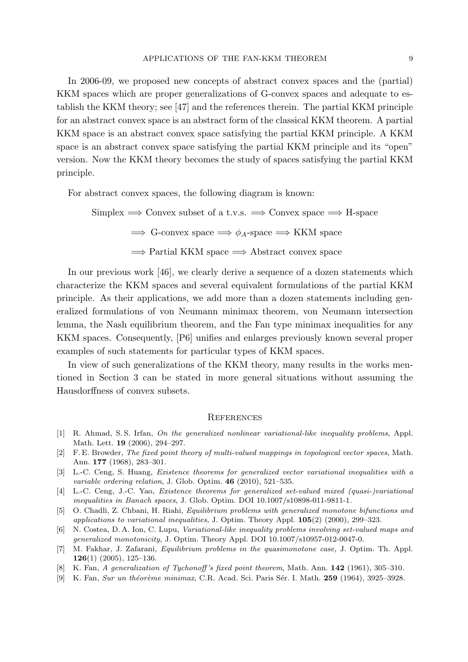In 2006-09, we proposed new concepts of abstract convex spaces and the (partial) KKM spaces which are proper generalizations of G-convex spaces and adequate to establish the KKM theory; see [47] and the references therein. The partial KKM principle for an abstract convex space is an abstract form of the classical KKM theorem. A partial KKM space is an abstract convex space satisfying the partial KKM principle. A KKM space is an abstract convex space satisfying the partial KKM principle and its "open" version. Now the KKM theory becomes the study of spaces satisfying the partial KKM principle.

For abstract convex spaces, the following diagram is known:

Simplex =*⇒* Convex subset of a t.v.s. =*⇒* Convex space =*⇒* H-space  $\implies$  G-convex space  $\implies \phi_A$ -space  $\implies$  KKM space =*⇒* Partial KKM space =*⇒* Abstract convex space

In our previous work [46], we clearly derive a sequence of a dozen statements which characterize the KKM spaces and several equivalent formulations of the partial KKM principle. As their applications, we add more than a dozen statements including generalized formulations of von Neumann minimax theorem, von Neumann intersection lemma, the Nash equilibrium theorem, and the Fan type minimax inequalities for any KKM spaces. Consequently, [P6] unifies and enlarges previously known several proper examples of such statements for particular types of KKM spaces.

In view of such generalizations of the KKM theory, many results in the works mentioned in Section 3 can be stated in more general situations without assuming the Hausdorffness of convex subsets.

### **REFERENCES**

- [1] R. Ahmad, S. S. Irfan, *On the generalized nonlinear variational-like inequality problems*, Appl. Math. Lett. **19** (2006), 294–297.
- [2] F. E. Browder, *The fixed point theory of multi-valued mappings in topological vector spaces*, Math. Ann. **177** (1968), 283–301.
- [3] L.-C. Ceng, S. Huang, *Existence theorems for generalized vector variational inequalities with a variable ordering relation*, J. Glob. Optim. **46** (2010), 521–535.
- [4] L.-C. Ceng, J.-C. Yao, *Existence theorems for generalized set-valued mixed (quasi-)variational inequalities in Banach spaces*, J. Glob. Optim. DOI 10.1007/s10898-011-9811-1.
- [5] O. Chadli, Z. Chbani, H. Riahi, *Equilibrium problems with generalized monotone bifunctions and applications to variational inequalities*, J. Optim. Theory Appl. **105**(2) (2000), 299–323.
- [6] N. Costea, D. A. Ion, C. Lupu, *Variational-like inequality problems involving set-valued maps and generalized monotonicity*, J. Optim. Theory Appl. DOI 10.1007/s10957-012-0047-0.
- [7] M. Fakhar, J. Zafarani, *Equilibrium problems in the quasimonotone case*, J. Optim. Th. Appl. **126**(1) (2005), 125–136.
- [8] K. Fan, *A generalization of Tychonoff 's fixed point theorem*, Math. Ann. **142** (1961), 305–310.
- [9] K. Fan, *Sur un th´eor`eme minimax*, C.R. Acad. Sci. Paris S´er. I. Math. **259** (1964), 3925–3928.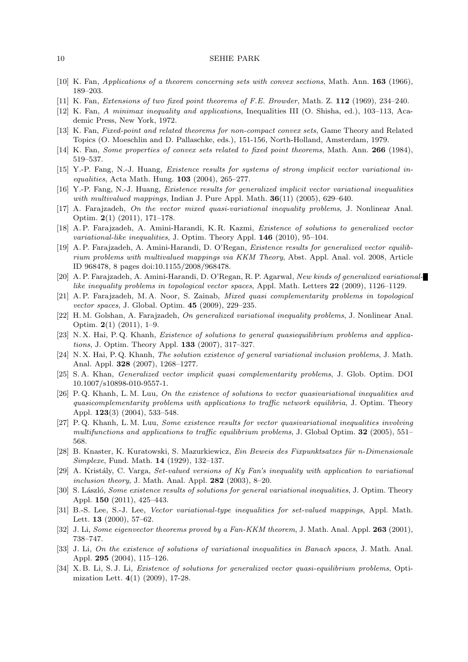- [10] K. Fan, *Applications of a theorem concerning sets with convex sections*, Math. Ann. **163** (1966), 189–203.
- [11] K. Fan, *Extensions of two fixed point theorems of F.E. Browder*, Math. Z. **112** (1969), 234–240.
- [12] K. Fan, *A minimax inequality and applications*, Inequalities III (O. Shisha, ed.), 103–113, Academic Press, New York, 1972.
- [13] K. Fan, *Fixed-point and related theorems for non-compact convex sets*, Game Theory and Related Topics (O. Moeschlin and D. Pallaschke, eds.), 151-156, North-Holland, Amsterdam, 1979.
- [14] K. Fan, *Some properties of convex sets related to fixed point theorems*, Math. Ann. **266** (1984), 519–537.
- [15] Y.-P. Fang, N.-J. Huang, *Existence results for systems of strong implicit vector variational inequalities*, Acta Math. Hung. **103** (2004), 265–277.
- [16] Y.-P. Fang, N.-J. Huang, *Existence results for generalized implicit vector variational inequalities with multivalued mappings*, Indian J. Pure Appl. Math. **36**(11) (2005), 629–640.
- [17] A. Farajzadeh, *On the vector mixed quasi-variational inequality problems*, J. Nonlinear Anal. Optim. **2**(1) (2011), 171–178.
- [18] A. P. Farajzadeh, A. Amini-Harandi, K. R. Kazmi, *Existence of solutions to generalized vector variational-like inequalities*, J. Optim. Theory Appl. **146** (2010), 95–104.
- [19] A. P. Farajzadeh, A. Amini-Harandi, D. O'Regan, *Existence results for generalized vector equilibrium problems with multivalued mappings via KKM Theory*, Abst. Appl. Anal. vol. 2008, Article ID 968478, 8 pages doi:10.1155/2008/968478.
- [20] A. P. Farajzadeh, A. Amini-Harandi, D. O'Regan, R. P. Agarwal, *New kinds of generalized variationallike inequality problems in topological vector spaces*, Appl. Math. Letters **22** (2009), 1126–1129.
- [21] A. P. Farajzadeh, M. A. Noor, S. Zainab, *Mixed quasi complementarity problems in topological vector spaces*, J. Global. Optim. **45** (2009), 229–235.
- [22] H. M. Golshan, A. Farajzadeh, *On generalized variational inequality problems*, J. Nonlinear Anal. Optim. **2**(1) (2011), 1–9.
- [23] N. X. Hai, P. Q. Khanh, *Existence of solutions to general quasiequilibrium problems and applications*, J. Optim. Theory Appl. **133** (2007), 317–327.
- [24] N. X. Hai, P. Q. Khanh, *The solution existence of general variational inclusion problems*, J. Math. Anal. Appl. **328** (2007), 1268–1277.
- [25] S. A. Khan, *Generalized vector implicit quasi complementarity problems*, J. Glob. Optim. DOI 10.1007/s10898-010-9557-1.
- [26] P. Q. Khanh, L. M. Luu, *On the existence of solutions to vector quasivariational inequalities and quasicomplementarity problems with applications to traffic network equilibria*, J. Optim. Theory Appl. **123**(3) (2004), 533–548.
- [27] P. Q. Khanh, L. M. Luu, *Some existence results for vector quasivariational inequalities involving multifunctions and applications to traffic equilibrium problems*, J. Global Optim. **32** (2005), 551– 568.
- [28] B. Knaster, K. Kuratowski, S. Mazurkiewicz, *Ein Beweis des Fixpunktsatzes für n-Dimensionale Simplexe*, Fund. Math. **14** (1929), 132–137.
- [29] A. Krist´aly, C. Varga, *Set-valued versions of Ky Fan's inequality with application to variational inclusion theory*, J. Math. Anal. Appl. **282** (2003), 8–20.
- [30] S. László, *Some existence results of solutions for general variational inequalities*, J. Optim. Theory Appl. **150** (2011), 425–443.
- [31] B.-S. Lee, S.-J. Lee, *Vector variational-type inequalities for set-valued mappings*, Appl. Math. Lett. **13** (2000), 57–62.
- [32] J. Li, *Some eigenvector theorems proved by a Fan-KKM theorem*, J. Math. Anal. Appl. **263** (2001), 738–747.
- [33] J. Li, *On the existence of solutions of variational inequalities in Banach spaces*, J. Math. Anal. Appl. **295** (2004), 115–126.
- [34] X. B. Li, S. J. Li, *Existence of solutions for generalized vector quasi-equilibrium problems*, Optimization Lett. **4**(1) (2009), 17-28.